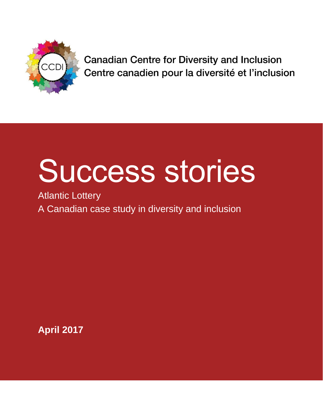

**Canadian Centre for Diversity and Inclusion** Centre canadien pour la diversité et l'inclusion

# Success stories

Atlantic Lottery A Canadian case study in diversity and inclusion

**April 2017**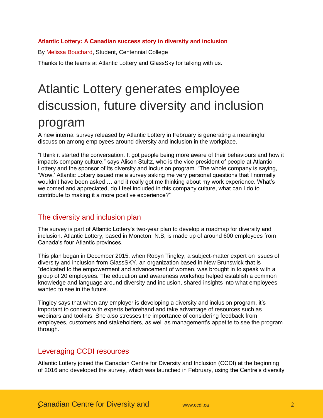### **Atlantic Lottery: A Canadian success story in diversity and inclusion**

By **Melissa Bouchard**, Student, Centennial College

Thanks to the teams at Atlantic Lottery and GlassSky for talking with us.

# Atlantic Lottery generates employee discussion, future diversity and inclusion program

A new internal survey released by Atlantic Lottery in February is generating a meaningful discussion among employees around diversity and inclusion in the workplace.

"I think it started the conversation. It got people being more aware of their behaviours and how it impacts company culture," says Alison Stultz, who is the vice president of people at Atlantic Lottery and the sponsor of its diversity and inclusion program. "The whole company is saying, 'Wow,' Atlantic Lottery issued me a survey asking me very personal questions that I normally wouldn't have been asked … and it really got me thinking about my work experience. What's welcomed and appreciated, do I feel included in this company culture, what can I do to contribute to making it a more positive experience?"

# The diversity and inclusion plan

The survey is part of Atlantic Lottery's two-year plan to develop a roadmap for diversity and inclusion. Atlantic Lottery, based in Moncton, N.B, is made up of around 600 employees from Canada's four Atlantic provinces.

This plan began in December 2015, when Robyn Tingley, a subject-matter expert on issues of diversity and inclusion from GlassSKY, an organization based in New Brunswick that is "dedicated to the empowerment and advancement of women, was brought in to speak with a group of 20 employees. The education and awareness workshop helped establish a common knowledge and language around diversity and inclusion, shared insights into what employees wanted to see in the future.

Tingley says that when any employer is developing a diversity and inclusion program, it's important to connect with experts beforehand and take advantage of resources such as webinars and toolkits. She also stresses the importance of considering feedback from employees, customers and stakeholders, as well as management's appetite to see the program through.

# Leveraging CCDI resources

Atlantic Lottery joined the Canadian Centre for Diversity and Inclusion (CCDI) at the beginning of 2016 and developed the survey, which was launched in February, using the Centre's diversity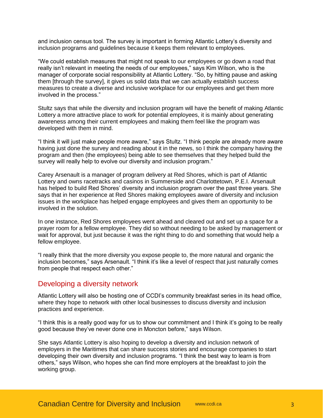and inclusion census tool. The survey is important in forming Atlantic Lottery's diversity and inclusion programs and guidelines because it keeps them relevant to employees.

"We could establish measures that might not speak to our employees or go down a road that really isn't relevant in meeting the needs of our employees," says Kim Wilson, who is the manager of corporate social responsibility at Atlantic Lottery. "So, by hitting pause and asking them [through the survey], it gives us solid data that we can actually establish success measures to create a diverse and inclusive workplace for our employees and get them more involved in the process."

Stultz says that while the diversity and inclusion program will have the benefit of making Atlantic Lottery a more attractive place to work for potential employees, it is mainly about generating awareness among their current employees and making them feel like the program was developed with them in mind.

"I think it will just make people more aware," says Stultz. "I think people are already more aware having just done the survey and reading about it in the news, so I think the company having the program and then (the employees) being able to see themselves that they helped build the survey will really help to evolve our diversity and inclusion program."

Carey Arsenault is a manager of program delivery at Red Shores, which is part of Atlantic Lottery and owns racetracks and casinos in Summerside and Charlottetown, P.E.I. Arsenault has helped to build Red Shores' diversity and inclusion program over the past three years. She says that in her experience at Red Shores making employees aware of diversity and inclusion issues in the workplace has helped engage employees and gives them an opportunity to be involved in the solution.

In one instance, Red Shores employees went ahead and cleared out and set up a space for a prayer room for a fellow employee. They did so without needing to be asked by management or wait for approval, but just because it was the right thing to do and something that would help a fellow employee.

"I really think that the more diversity you expose people to, the more natural and organic the inclusion becomes," says Arsenault. "I think it's like a level of respect that just naturally comes from people that respect each other."

# Developing a diversity network

Atlantic Lottery will also be hosting one of CCDI's community breakfast series in its head office, where they hope to network with other local businesses to discuss diversity and inclusion practices and experience.

"I think this is a really good way for us to show our commitment and I think it's going to be really good because they've never done one in Moncton before," says Wilson.

She says Atlantic Lottery is also hoping to develop a diversity and inclusion network of employers in the Maritimes that can share success stories and encourage companies to start developing their own diversity and inclusion programs. "I think the best way to learn is from others," says Wilson, who hopes she can find more employers at the breakfast to join the working group.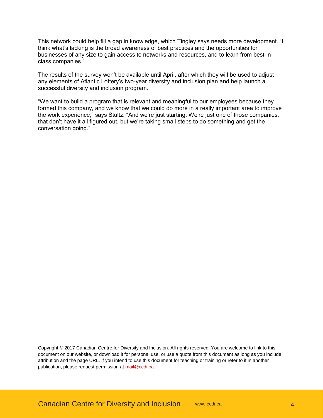This network could help fill a gap in knowledge, which Tingley says needs more development. "I think what's lacking is the broad awareness of best practices and the opportunities for businesses of any size to gain access to networks and resources, and to learn from best-inclass companies."

The results of the survey won't be available until April, after which they will be used to adjust any elements of Atlantic Lottery's two-year diversity and inclusion plan and help launch a successful diversity and inclusion program.

"We want to build a program that is relevant and meaningful to our employees because they formed this company, and we know that we could do more in a really important area to improve the work experience," says Stultz. "And we're just starting. We're just one of those companies, that don't have it all figured out, but we're taking small steps to do something and get the conversation going."

Copyright © 2017 Canadian Centre for Diversity and Inclusion. All rights reserved. You are welcome to link to this document on our website, or download it for personal use, or use a quote from this document as long as you include attribution and the page URL. If you intend to use this document for teaching or training or refer to it in another publication, please request permission a[t mail@ccdi.ca.](mailto:mail@ccdi.ca)

Canadian Centre for Diversity and Inclusion [www.ccdi.ca](http://www.ccdi.ca/) 4